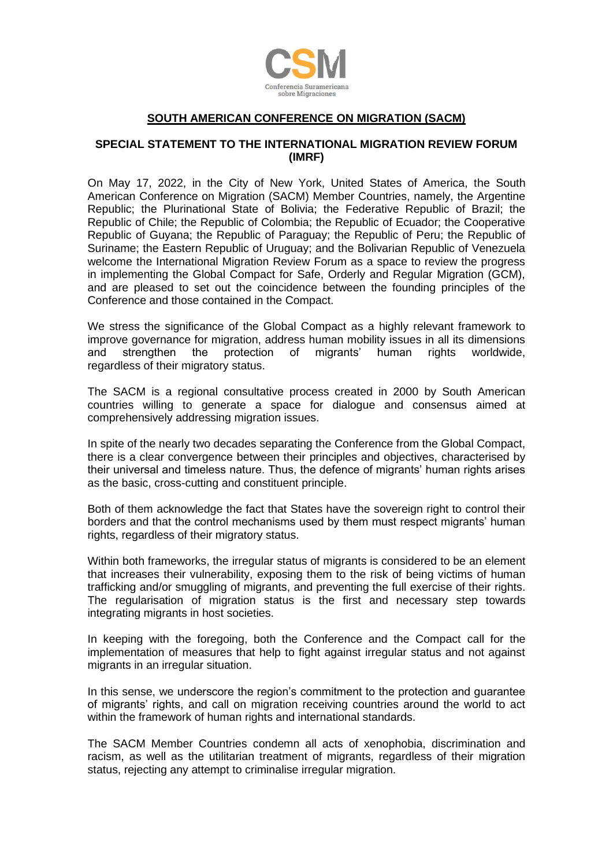

## **SOUTH AMERICAN CONFERENCE ON MIGRATION (SACM)**

## **SPECIAL STATEMENT TO THE INTERNATIONAL MIGRATION REVIEW FORUM (IMRF)**

On May 17, 2022, in the City of New York, United States of America, the South American Conference on Migration (SACM) Member Countries, namely, the Argentine Republic; the Plurinational State of Bolivia; the Federative Republic of Brazil; the Republic of Chile; the Republic of Colombia; the Republic of Ecuador; the Cooperative Republic of Guyana; the Republic of Paraguay; the Republic of Peru; the Republic of Suriname; the Eastern Republic of Uruguay; and the Bolivarian Republic of Venezuela welcome the International Migration Review Forum as a space to review the progress in implementing the Global Compact for Safe, Orderly and Regular Migration (GCM), and are pleased to set out the coincidence between the founding principles of the Conference and those contained in the Compact.

We stress the significance of the Global Compact as a highly relevant framework to improve governance for migration, address human mobility issues in all its dimensions and strengthen the protection of migrants' human rights worldwide, regardless of their migratory status.

The SACM is a regional consultative process created in 2000 by South American countries willing to generate a space for dialogue and consensus aimed at comprehensively addressing migration issues.

In spite of the nearly two decades separating the Conference from the Global Compact, there is a clear convergence between their principles and objectives, characterised by their universal and timeless nature. Thus, the defence of migrants' human rights arises as the basic, cross-cutting and constituent principle.

Both of them acknowledge the fact that States have the sovereign right to control their borders and that the control mechanisms used by them must respect migrants' human rights, regardless of their migratory status.

Within both frameworks, the irregular status of migrants is considered to be an element that increases their vulnerability, exposing them to the risk of being victims of human trafficking and/or smuggling of migrants, and preventing the full exercise of their rights. The regularisation of migration status is the first and necessary step towards integrating migrants in host societies.

In keeping with the foregoing, both the Conference and the Compact call for the implementation of measures that help to fight against irregular status and not against migrants in an irregular situation.

In this sense, we underscore the region's commitment to the protection and guarantee of migrants' rights, and call on migration receiving countries around the world to act within the framework of human rights and international standards.

The SACM Member Countries condemn all acts of xenophobia, discrimination and racism, as well as the utilitarian treatment of migrants, regardless of their migration status, rejecting any attempt to criminalise irregular migration.